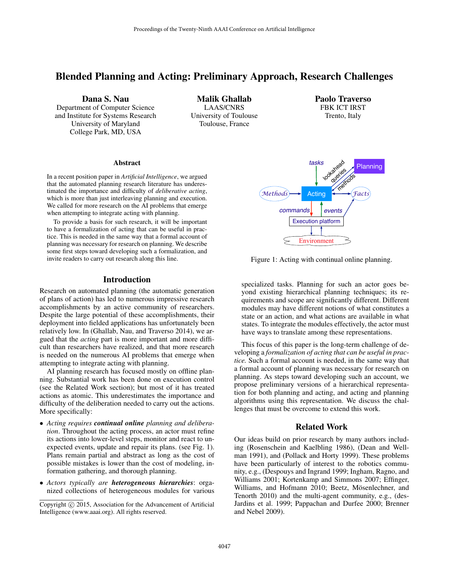# Blended Planning and Acting: Preliminary Approach, Research Challenges

Dana S. Nau Department of Computer Science and Institute for Systems Research University of Maryland College Park, MD, USA

Malik Ghallab LAAS/CNRS University of Toulouse Toulouse, France

Paolo Traverso FBK ICT IRST Trento, Italy

# Environment methods Facts tasks read dueries *commands events* Planning *Methods* **Facting** Execution platform

Figure 1: Acting with continual online planning.

specialized tasks. Planning for such an actor goes beyond existing hierarchical planning techniques; its requirements and scope are significantly different. Different modules may have different notions of what constitutes a state or an action, and what actions are available in what states. To integrate the modules effectively, the actor must have ways to translate among these representations.

This focus of this paper is the long-term challenge of developing a *formalization of acting that can be useful in practice.* Such a formal account is needed, in the same way that a formal account of planning was necessary for research on planning. As steps toward developing such an account, we propose preliminary versions of a hierarchical representation for both planning and acting, and acting and planning algorithms using this representation. We discuss the challenges that must be overcome to extend this work.

#### Related Work

Our ideas build on prior research by many authors including (Rosenschein and Kaelbling 1986), (Dean and Wellman 1991), and (Pollack and Horty 1999). These problems have been particularly of interest to the robotics community, e.g., (Despouys and Ingrand 1999; Ingham, Ragno, and Williams 2001; Kortenkamp and Simmons 2007; Effinger, Williams, and Hofmann 2010; Beetz, Mösenlechner, and Tenorth 2010) and the multi-agent community, e.g., (des-Jardins et al. 1999; Pappachan and Durfee 2000; Brenner and Nebel 2009).

#### Abstract

In a recent position paper in *Artificial Intelligence*, we argued that the automated planning research literature has underestimated the importance and difficulty of *deliberative acting*, which is more than just interleaving planning and execution. We called for more research on the AI problems that emerge when attempting to integrate acting with planning.

To provide a basis for such research, it will be important to have a formalization of acting that can be useful in practice. This is needed in the same way that a formal account of planning was necessary for research on planning. We describe some first steps toward developing such a formalization, and invite readers to carry out research along this line.

#### Introduction

Research on automated planning (the automatic generation of plans of action) has led to numerous impressive research accomplishments by an active community of researchers. Despite the large potential of these accomplishments, their deployment into fielded applications has unfortunately been relatively low. In (Ghallab, Nau, and Traverso 2014), we argued that the *acting* part is more important and more difficult than researchers have realized, and that more research is needed on the numerous AI problems that emerge when attempting to integrate acting with planning.

AI planning research has focused mostly on offline planning. Substantial work has been done on execution control (see the Related Work section); but most of it has treated actions as atomic. This underestimates the importance and difficulty of the deliberation needed to carry out the actions. More specifically:

- *Acting requires continual online planning and deliberation*. Throughout the acting process, an actor must refine its actions into lower-level steps, monitor and react to unexpected events, update and repair its plans. (see Fig. 1). Plans remain partial and abstract as long as the cost of possible mistakes is lower than the cost of modeling, information gathering, and thorough planning.
- *Actors typically are heterogeneous hierarchies*: organized collections of heterogeneous modules for various

Copyright (c) 2015, Association for the Advancement of Artificial Intelligence (www.aaai.org). All rights reserved.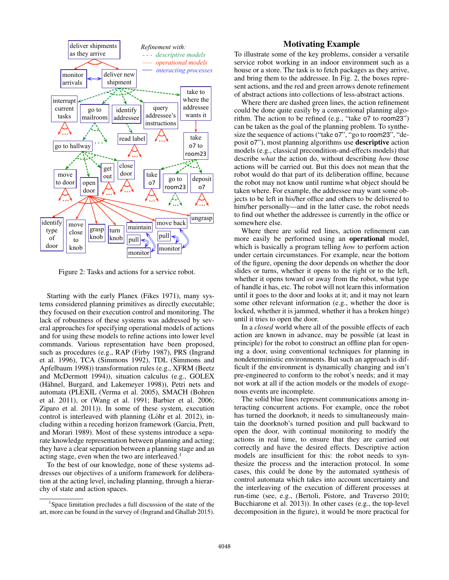

Figure 2: Tasks and actions for a service robot.

Starting with the early Planex (Fikes 1971), many systems considered planning primitives as directly executable; they focused on their execution control and monitoring. The lack of robustness of these systems was addressed by several approaches for specifying operational models of actions and for using these models to refine actions into lower level commands. Various representation have been proposed, such as procedures (e.g., RAP (Firby 1987), PRS (Ingrand et al. 1996), TCA (Simmons 1992), TDL (Simmons and Apfelbaum 1998)) transformation rules (e.g., XFRM (Beetz and McDermott 1994)), situation calculus (e.g., GOLEX (Hähnel, Burgard, and Lakemeyer 1998)), Petri nets and automata (PLEXIL (Verma et al. 2005), SMACH (Bohren et al. 2011), or (Wang et al. 1991; Barbier et al. 2006; Ziparo et al. 2011)). In some of these system, execution control is interleaved with planning (Löhr et al. 2012), including within a receding horizon framework (Garcia, Prett, and Morari 1989). Most of these systems introduce a separate knowledge representation between planning and acting; they have a clear separation between a planning stage and an acting stage, even when the two are interleaved.<sup>1</sup>

To the best of our knowledge, none of these systems addresses our objectives of a uniform framework for deliberation at the acting level, including planning, through a hierarchy of state and action spaces.

## Motivating Example

To illustrate some of the key problems, consider a versatile service robot working in an indoor environment such as a house or a store. The task is to fetch packages as they arrive, and bring them to the addressee. In Fig. 2, the boxes represent actions, and the red and green arrows denote refinement of abstract actions into collections of less-abstract actions.

Where there are dashed green lines, the action refinement could be done quite easily by a conventional planning algorithm. The action to be refined (e.g., "take o7 to room23") can be taken as the goal of the planning problem. To synthesize the sequence of actions ("take o7", "go to room23", "deposit o7"), most planning algorithms use descriptive action models (e.g., classical precondition-and-effects models) that describe *what* the action do, without describing *how* those actions will be carried out. But this does not mean that the robot would do that part of its deliberation offline, because the robot may not know until runtime what object should be taken where. For example, the addressee may want some objects to be left in his/her office and others to be delivered to him/her personally—and in the latter case, the robot needs to find out whether the addressee is currently in the office or somewhere else.

Where there are solid red lines, action refinement can more easily be performed using an **operational** model, which is basically a program telling *how* to perform action under certain circumstances. For example, near the bottom of the figure, opening the door depends on whether the door slides or turns, whether it opens to the right or to the left, whether it opens toward or away from the robot, what type of handle it has, etc. The robot will not learn this information until it goes to the door and looks at it; and it may not learn some other relevant information (e.g., whether the door is locked, whether it is jammed, whether it has a broken hinge) until it tries to open the door.

In a *closed* world where all of the possible effects of each action are known in advance, may be possible (at least in principle) for the robot to construct an offline plan for opening a door, using conventional techniques for planning in nondeterministic environments. But such an approach is difficult if the environment is dynamically changing and isn't pre-engineered to conform to the robot's needs; and it may not work at all if the action models or the models of exogenous events are incomplete.

The solid blue lines represent communications among interacting concurrent actions. For example, once the robot has turned the doorknob, it needs to simultaneously maintain the doorknob's turned position and pull backward to open the door, with continual monitoring to modify the actions in real time, to ensure that they are carried out correctly and have the desired effects. Descriptive action models are insufficient for this: the robot needs to synthesize the process and the interaction protocol. In some cases, this could be done by the automated synthesis of control automata which takes into account uncertainty and the interleaving of the execution of different processes at run-time (see, e.g., (Bertoli, Pistore, and Traverso 2010; Bucchiarone et al. 2013)). In other cases (e.g., the top-level decomposition in the figure), it would be more practical for

<sup>1</sup> Space limitation precludes a full discussion of the state of the art, more can be found in the survey of (Ingrand and Ghallab 2015).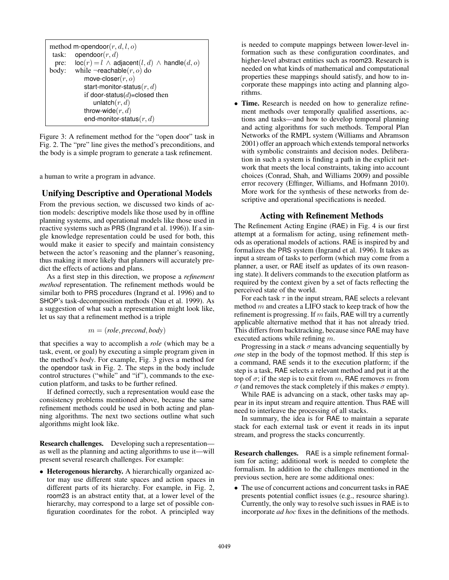```
method m-opendoor(r, d, l, o)task: opendoor(r, d)pre: \operatorname{loc}(r) = l \wedge \operatorname{adjacent}(l, d) \wedge \operatorname{handle}(d, o)body: while \negreachable(r, o) do
 move-closer(r, o)start-monitor-status(r, d)if door-status(d)=closed then
     unlatch(r, d)throw-wide(r, d)end-monitor-status(r, d)
```
Figure 3: A refinement method for the "open door" task in Fig. 2. The "pre" line gives the method's preconditions, and the body is a simple program to generate a task refinement.

a human to write a program in advance.

## Unifying Descriptive and Operational Models

From the previous section, we discussed two kinds of action models: descriptive models like those used by in offline planning systems, and operational models like those used in reactive systems such as PRS (Ingrand et al. 1996)). If a single knowledge representation could be used for both, this would make it easier to specify and maintain consistency between the actor's reasoning and the planner's reasoning, thus making it more likely that planners will accurately predict the effects of actions and plans.

As a first step in this direction, we propose a *refinement method* representation. The refinement methods would be similar both to PRS procedures (Ingrand et al. 1996) and to SHOP's task-decomposition methods (Nau et al. 1999). As a suggestion of what such a representation might look like, let us say that a refinement method is a triple

$$
m = (role, precondition, body)
$$

that specifies a way to accomplish a *role* (which may be a task, event, or goal) by executing a simple program given in the method's *body*. For example, Fig. 3 gives a method for the opendoor task in Fig. 2. The steps in the body include control structures ("while" and "if"), commands to the execution platform, and tasks to be further refined.

If defined correctly, such a representation would ease the consistency problems mentioned above, because the same refinement methods could be used in both acting and planning algorithms. The next two sections outline what such algorithms might look like.

Research challenges. Developing such a representation as well as the planning and acting algorithms to use it—will present several research challenges. For example:

• Heterogenous hierarchy. A hierarchically organized actor may use different state spaces and action spaces in different parts of its hierarchy. For example, in Fig. 2, room23 is an abstract entity that, at a lower level of the hierarchy, may correspond to a large set of possible configuration coordinates for the robot. A principled way

is needed to compute mappings between lower-level information such as these configuration coordinates, and higher-level abstract entities such as room23. Research is needed on what kinds of mathematical and computational properties these mappings should satisfy, and how to incorporate these mappings into acting and planning algorithms.

• Time. Research is needed on how to generalize refinement methods over temporally qualified assertions, actions and tasks—and how to develop temporal planning and acting algorithms for such methods. Temporal Plan Networks of the RMPL system (Williams and Abramson 2001) offer an approach which extends temporal networks with symbolic constraints and decision nodes. Deliberation in such a system is finding a path in the explicit network that meets the local constraints, taking into account choices (Conrad, Shah, and Williams 2009) and possible error recovery (Effinger, Williams, and Hofmann 2010). More work for the synthesis of these networks from descriptive and operational specifications is needed.

#### Acting with Refinement Methods

The Refinement Acting Engine (RAE) in Fig. 4 is our first attempt at a formalism for acting, using refinement methods as operational models of actions. RAE is inspired by and formalizes the PRS system (Ingrand et al. 1996). It takes as input a stream of tasks to perform (which may come from a planner, a user, or RAE itself as updates of its own reasoning state). It delivers commands to the execution platform as required by the context given by a set of facts reflecting the perceived state of the world.

For each task  $\tau$  in the input stream, RAE selects a relevant method  $m$  and creates a LIFO stack to keep track of how the refinement is progressing. If  $m$  fails, RAE will try a currently applicable alternative method that it has not already tried. This differs from backtracking, because since RAE may have executed actions while refining  $m$ .

Progressing in a stack  $\sigma$  means advancing sequentially by *one* step in the body of the topmost method. If this step is a command, RAE sends it to the execution platform; if the step is a task, RAE selects a relevant method and put it at the top of  $\sigma$ ; if the step is to exit from m, RAE removes m from  $\sigma$  (and removes the stack completely if this makes  $\sigma$  empty).

While RAE is advancing on a stack, other tasks may appear in its input stream and require attention. Thus RAE will need to interleave the processing of all stacks.

In summary, the idea is for RAE to maintain a separate stack for each external task or event it reads in its input stream, and progress the stacks concurrently.

Research challenges. RAE is a simple refinement formalism for acting; additional work is needed to complete the formalism. In addition to the challenges mentioned in the previous section, here are some additional ones:

• The use of concurrent actions and concurrent tasks in RAE presents potential conflict issues (e.g., resource sharing). Currently, the only way to resolve such issues in RAE is to incorporate *ad hoc* fixes in the definitions of the methods.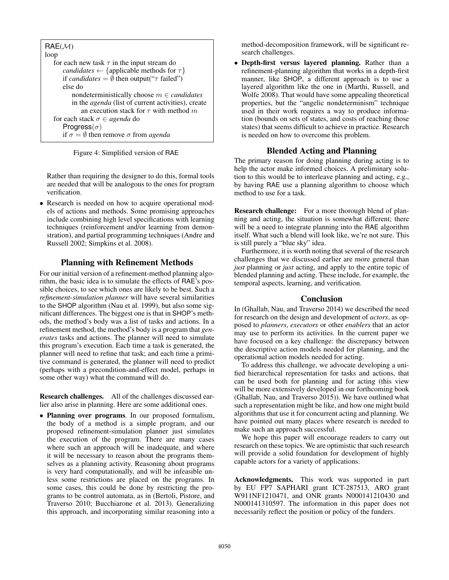Figure 4: Simplified version of RAE

Rather than requiring the designer to do this, formal tools are needed that will be analogous to the ones for program verification.

• Research is needed on how to acquire operational models of actions and methods. Some promising approaches include combining high level specifications with learning techniques (reinforcement and/or learning from demonstration), and partial programming techniques (Andre and Russell 2002; Simpkins et al. 2008).

### Planning with Refinement Methods

For our initial version of a refinement-method planning algorithm, the basic idea is to simulate the effects of RAE's possible choices, to see which ones are likely to be best. Such a *refinement-simulation planner* will have several similarities to the SHOP algorithm (Nau et al. 1999), but also some significant differences. The biggest one is that in SHOP's methods, the method's body was a list of tasks and actions. In a refinement method, the method's body is a program that *generates* tasks and actions. The planner will need to simulate this program's execution. Each time a task is generated, the planner will need to refine that task; and each time a primitive command is generated, the planner will need to predict (perhaps with a precondition-and-effect model, perhaps in some other way) what the command will do.

Research challenges. All of the challenges discussed earlier also arise in planning. Here are some additional ones.

• Planning over programs. In our proposed formalism, the body of a method is a simple program, and our proposed refinement-simulation planner just simulates the execution of the program. There are many cases where such an approach will be inadequate, and where it will be necessary to reason about the programs themselves as a planning activity. Reasoning about programs is very hard computationally, and will be infeasible unless some restrictions are placed on the programs. In some cases, this could be done by restricting the programs to be control automata, as in (Bertoli, Pistore, and Traverso 2010; Bucchiarone et al. 2013). Generalizing this approach, and incorporating similar reasoning into a method-decomposition framework, will be significant research challenges.

• Depth-first versus layered planning. Rather than a refinement-planning algorithm that works in a depth-first manner, like SHOP, a different approach is to use a layered algorithm like the one in (Marthi, Russell, and Wolfe 2008). That would have some appealing theoretical properties, but the "angelic nondeterminism" technique used in their work requires a way to produce information (bounds on sets of states, and costs of reaching those states) that seems difficult to achieve in practice. Research is needed on how to overcome this problem.

# Blended Acting and Planning

The primary reason for doing planning during acting is to help the actor make informed choices. A preliminary solution to this would be to interleave planning and acting, e.g., by having RAE use a planning algorithm to choose which method to use for a task.

Research challenge: For a more thorough blend of planning and acting, the situation is somewhat different; there will be a need to integrate planning into the RAE algorithm itself. What such a blend will look like, we're not sure. This is still purely a "blue sky" idea.

Furthermore, it is worth noting that several of the research challenges that we discussed earlier are more general than *just* planning or *just* acting, and apply to the entire topic of blended planning and acting. These include, for example, the temporal aspects, learning, and verification.

#### Conclusion

In (Ghallab, Nau, and Traverso 2014) we described the need for research on the design and development of *actors*, as opposed to *planners*, *executors* or other *enablers* that an actor may use to perform its activities. In the current paper we have focused on a key challenge: the discrepancy between the descriptive action models needed for planning, and the operational action models needed for acting.

To address this challenge, we advocate developing a unified hierarchical representation for tasks and actions, that can be used both for planning and for acting (this view will be more extensively developed in our forthcoming book (Ghallab, Nau, and Traverso 2015)). We have outlined what such a representation might be like, and how one might build algorithms that use it for concurrent acting and planning. We have pointed out many places where research is needed to make such an approach successful.

We hope this paper will encourage readers to carry out research on these topics. We are optimistic that such research will provide a solid foundation for development of highly capable actors for a variety of applications.

Acknowledgments. This work was supported in part by EU FP7 SAPHARI grant ICT-287513, ARO grant W911NF1210471, and ONR grants N000141210430 and N000141310597. The information in this paper does not necessarily reflect the position or policy of the funders.